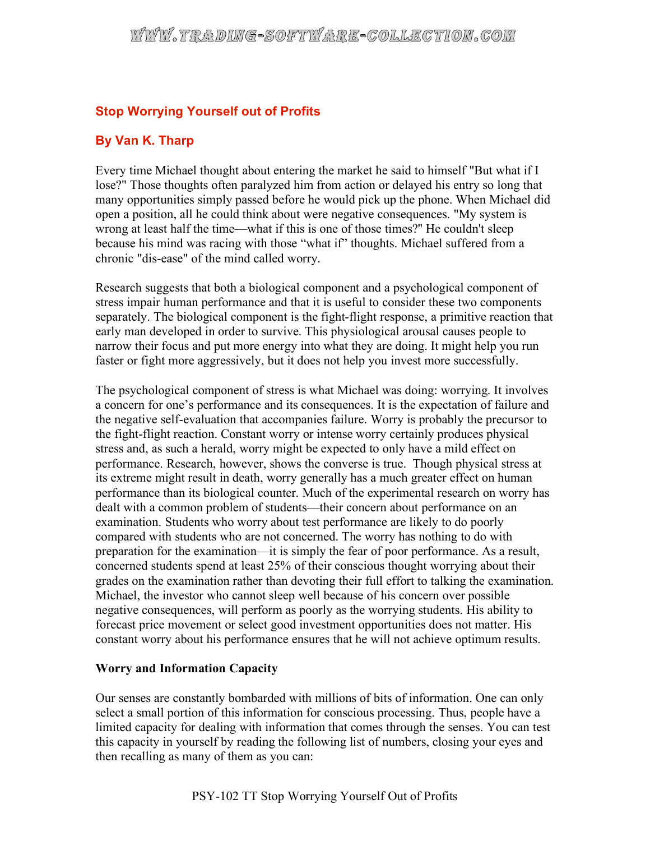# **Stop Worrying Yourself out of Profits**

## **By Van K. Tharp**

Every time Michael thought about entering the market he said to himself "But what if I lose?" Those thoughts often paralyzed him from action or delayed his entry so long that many opportunities simply passed before he would pick up the phone. When Michael did open a position, all he could think about were negative consequences. "My system is wrong at least half the time—what if this is one of those times?'' He couldn't sleep because his mind was racing with those "what if" thoughts. Michael suffered from a chronic "dis-ease" of the mind called worry.

Research suggests that both a biological component and a psychological component of stress impair human performance and that it is useful to consider these two components separately. The biological component is the fight-flight response, a primitive reaction that early man developed in order to survive. This physiological arousal causes people to narrow their focus and put more energy into what they are doing. It might help you run faster or fight more aggressively, but it does not help you invest more successfully.

The psychological component of stress is what Michael was doing: worrying. It involves a concern for one's performance and its consequences. It is the expectation of failure and the negative self-evaluation that accompanies failure. Worry is probably the precursor to the fight-flight reaction. Constant worry or intense worry certainly produces physical stress and, as such a herald, worry might be expected to only have a mild effect on performance. Research, however, shows the converse is true. Though physical stress at its extreme might result in death, worry generally has a much greater effect on human performance than its biological counter. Much of the experimental research on worry has dealt with a common problem of students—their concern about performance on an examination. Students who worry about test performance are likely to do poorly compared with students who are not concerned. The worry has nothing to do with preparation for the examination—it is simply the fear of poor performance. As a result, concerned students spend at least 25% of their conscious thought worrying about their grades on the examination rather than devoting their full effort to talking the examination. Michael, the investor who cannot sleep well because of his concern over possible negative consequences, will perform as poorly as the worrying students. His ability to forecast price movement or select good investment opportunities does not matter. His constant worry about his performance ensures that he will not achieve optimum results.

### **Worry and Information Capacity**

Our senses are constantly bombarded with millions of bits of information. One can only select a small portion of this information for conscious processing. Thus, people have a limited capacity for dealing with information that comes through the senses. You can test this capacity in yourself by reading the following list of numbers, closing your eyes and then recalling as many of them as you can: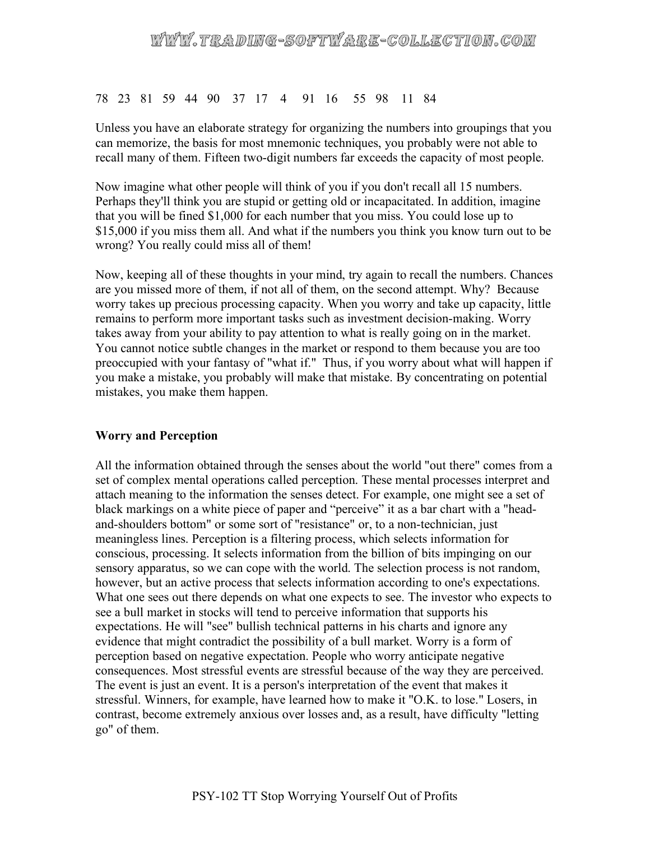# WWW.TRADING=SOFTWARE=COLLECTION.COM

#### 78 23 81 59 44 90 37 17 4 91 16 55 98 11 84

Unless you have an elaborate strategy for organizing the numbers into groupings that you can memorize, the basis for most mnemonic techniques, you probably were not able to recall many of them. Fifteen two-digit numbers far exceeds the capacity of most people.

Now imagine what other people will think of you if you don't recall all 15 numbers. Perhaps they'll think you are stupid or getting old or incapacitated. In addition, imagine that you will be fined \$1,000 for each number that you miss. You could lose up to \$15,000 if you miss them all. And what if the numbers you think you know turn out to be wrong? You really could miss all of them!

Now, keeping all of these thoughts in your mind, try again to recall the numbers. Chances are you missed more of them, if not all of them, on the second attempt. Why? Because worry takes up precious processing capacity. When you worry and take up capacity, little remains to perform more important tasks such as investment decision-making. Worry takes away from your ability to pay attention to what is really going on in the market. You cannot notice subtle changes in the market or respond to them because you are too preoccupied with your fantasy of "what if." Thus, if you worry about what will happen if you make a mistake, you probably will make that mistake. By concentrating on potential mistakes, you make them happen.

#### **Worry and Perception**

All the information obtained through the senses about the world "out there" comes from a set of complex mental operations called perception. These mental processes interpret and attach meaning to the information the senses detect. For example, one might see a set of black markings on a white piece of paper and "perceive" it as a bar chart with a "headand-shoulders bottom" or some sort of "resistance" or, to a non-technician, just meaningless lines. Perception is a filtering process, which selects information for conscious, processing. It selects information from the billion of bits impinging on our sensory apparatus, so we can cope with the world. The selection process is not random, however, but an active process that selects information according to one's expectations. What one sees out there depends on what one expects to see. The investor who expects to see a bull market in stocks will tend to perceive information that supports his expectations. He will "see" bullish technical patterns in his charts and ignore any evidence that might contradict the possibility of a bull market. Worry is a form of perception based on negative expectation. People who worry anticipate negative consequences. Most stressful events are stressful because of the way they are perceived. The event is just an event. It is a person's interpretation of the event that makes it stressful. Winners, for example, have learned how to make it "O.K. to lose." Losers, in contrast, become extremely anxious over losses and, as a result, have difficulty "letting go" of them.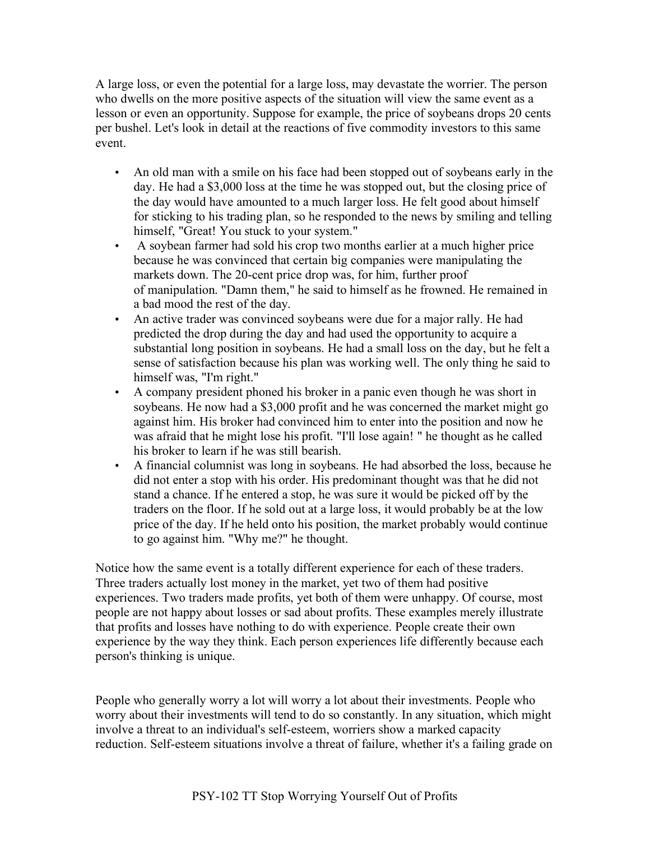A large loss, or even the potential for a large loss, may devastate the worrier. The person who dwells on the more positive aspects of the situation will view the same event as a lesson or even an opportunity. Suppose for example, the price of soybeans drops 20 cents per bushel. Let's look in detail at the reactions of five commodity investors to this same event.

- An old man with a smile on his face had been stopped out of soybeans early in the day. He had a \$3,000 loss at the time he was stopped out, but the closing price of the day would have amounted to a much larger loss. He felt good about himself for sticking to his trading plan, so he responded to the news by smiling and telling himself, "Great! You stuck to your system."
- A soybean farmer had sold his crop two months earlier at a much higher price because he was convinced that certain big companies were manipulating the markets down. The 20-cent price drop was, for him, further proof of manipulation. "Damn them," he said to himself as he frowned. He remained in a bad mood the rest of the day.
- An active trader was convinced soybeans were due for a major rally. He had predicted the drop during the day and had used the opportunity to acquire a substantial long position in soybeans. He had a small loss on the day, but he felt a sense of satisfaction because his plan was working well. The only thing he said to himself was, "I'm right."
- A company president phoned his broker in a panic even though he was short in soybeans. He now had a \$3,000 profit and he was concerned the market might go against him. His broker had convinced him to enter into the position and now he was afraid that he might lose his profit. "I'll lose again! " he thought as he called his broker to learn if he was still bearish.
- A financial columnist was long in soybeans. He had absorbed the loss, because he did not enter a stop with his order. His predominant thought was that he did not stand a chance. If he entered a stop, he was sure it would be picked off by the traders on the floor. If he sold out at a large loss, it would probably be at the low price of the day. If he held onto his position, the market probably would continue to go against him. "Why me?" he thought.

Notice how the same event is a totally different experience for each of these traders. Three traders actually lost money in the market, yet two of them had positive experiences. Two traders made profits, yet both of them were unhappy. Of course, most people are not happy about losses or sad about profits. These examples merely illustrate that profits and losses have nothing to do with experience. People create their own experience by the way they think. Each person experiences life differently because each person's thinking is unique.

People who generally worry a lot will worry a lot about their investments. People who worry about their investments will tend to do so constantly. In any situation, which might involve a threat to an individual's self-esteem, worriers show a marked capacity reduction. Self-esteem situations involve a threat of failure, whether it's a failing grade on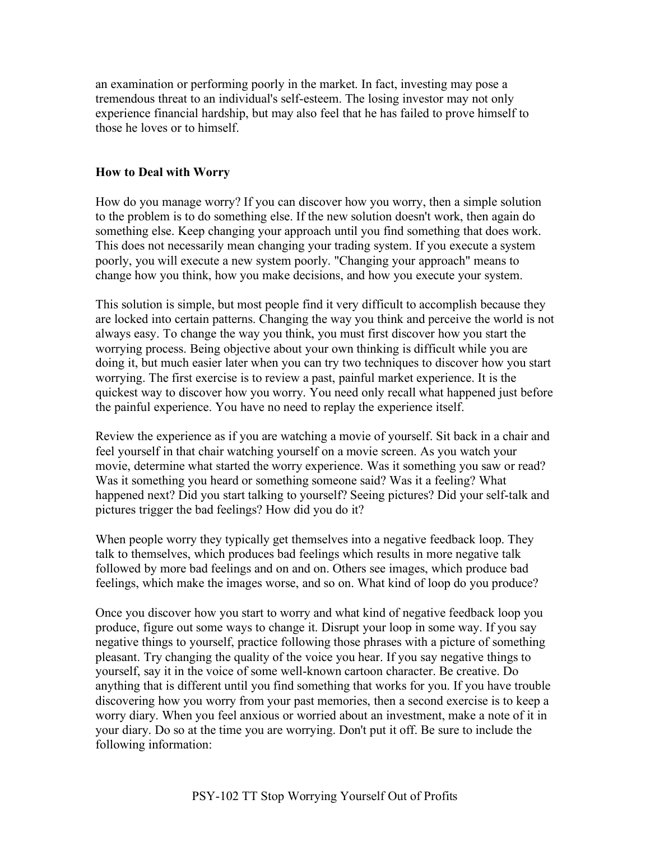an examination or performing poorly in the market. In fact, investing may pose a tremendous threat to an individual's self-esteem. The losing investor may not only experience financial hardship, but may also feel that he has failed to prove himself to those he loves or to himself.

#### **How to Deal with Worry**

How do you manage worry? If you can discover how you worry, then a simple solution to the problem is to do something else. If the new solution doesn't work, then again do something else. Keep changing your approach until you find something that does work. This does not necessarily mean changing your trading system. If you execute a system poorly, you will execute a new system poorly. "Changing your approach" means to change how you think, how you make decisions, and how you execute your system.

This solution is simple, but most people find it very difficult to accomplish because they are locked into certain patterns. Changing the way you think and perceive the world is not always easy. To change the way you think, you must first discover how you start the worrying process. Being objective about your own thinking is difficult while you are doing it, but much easier later when you can try two techniques to discover how you start worrying. The first exercise is to review a past, painful market experience. It is the quickest way to discover how you worry. You need only recall what happened just before the painful experience. You have no need to replay the experience itself.

Review the experience as if you are watching a movie of yourself. Sit back in a chair and feel yourself in that chair watching yourself on a movie screen. As you watch your movie, determine what started the worry experience. Was it something you saw or read? Was it something you heard or something someone said? Was it a feeling? What happened next? Did you start talking to yourself? Seeing pictures? Did your self-talk and pictures trigger the bad feelings? How did you do it?

When people worry they typically get themselves into a negative feedback loop. They talk to themselves, which produces bad feelings which results in more negative talk followed by more bad feelings and on and on. Others see images, which produce bad feelings, which make the images worse, and so on. What kind of loop do you produce?

Once you discover how you start to worry and what kind of negative feedback loop you produce, figure out some ways to change it. Disrupt your loop in some way. If you say negative things to yourself, practice following those phrases with a picture of something pleasant. Try changing the quality of the voice you hear. If you say negative things to yourself, say it in the voice of some well-known cartoon character. Be creative. Do anything that is different until you find something that works for you. If you have trouble discovering how you worry from your past memories, then a second exercise is to keep a worry diary. When you feel anxious or worried about an investment, make a note of it in your diary. Do so at the time you are worrying. Don't put it off. Be sure to include the following information: